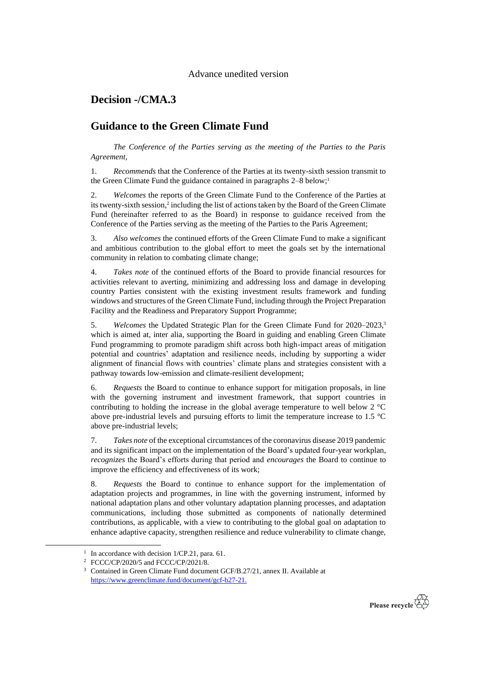## **Decision -/CMA.3**

## **Guidance to the Green Climate Fund**

*The Conference of the Parties serving as the meeting of the Parties to the Paris Agreement*,

1. *Recommends* that the Conference of the Parties at its twenty-sixth session transmit to the Green Climate Fund the guidance contained in paragraphs  $2-8$  below;<sup>1</sup>

2. *Welcomes* the reports of the Green Climate Fund to the Conference of the Parties at its twenty-sixth session,<sup>2</sup> including the list of actions taken by the Board of the Green Climate Fund (hereinafter referred to as the Board) in response to guidance received from the Conference of the Parties serving as the meeting of the Parties to the Paris Agreement;

3. *Also welcomes* the continued efforts of the Green Climate Fund to make a significant and ambitious contribution to the global effort to meet the goals set by the international community in relation to combating climate change;

4. *Takes note* of the continued efforts of the Board to provide financial resources for activities relevant to averting, minimizing and addressing loss and damage in developing country Parties consistent with the existing investment results framework and funding windows and structures of the Green Climate Fund, including through the Project Preparation Facility and the Readiness and Preparatory Support Programme;

5. *Welcomes* the Updated Strategic Plan for the Green Climate Fund for 2020–2023, 3 which is aimed at, inter alia, supporting the Board in guiding and enabling Green Climate Fund programming to promote paradigm shift across both high-impact areas of mitigation potential and countries' adaptation and resilience needs, including by supporting a wider alignment of financial flows with countries' climate plans and strategies consistent with a pathway towards low-emission and climate-resilient development;

6. *Requests* the Board to continue to enhance support for mitigation proposals, in line with the governing instrument and investment framework, that support countries in contributing to holding the increase in the global average temperature to well below 2 °C above pre-industrial levels and pursuing efforts to limit the temperature increase to 1.5 °C above pre-industrial levels;

7. *Takes note* of the exceptional circumstances of the coronavirus disease 2019 pandemic and its significant impact on the implementation of the Board's updated four-year workplan, *recognizes* the Board's efforts during that period and *encourages* the Board to continue to improve the efficiency and effectiveness of its work;

8. *Requests* the Board to continue to enhance support for the implementation of adaptation projects and programmes, in line with the governing instrument, informed by national adaptation plans and other voluntary adaptation planning processes, and adaptation communications, including those submitted as components of nationally determined contributions, as applicable, with a view to contributing to the global goal on adaptation to enhance adaptive capacity, strengthen resilience and reduce vulnerability to climate change,



<sup>&</sup>lt;sup>1</sup> In accordance with decision 1/CP.21, para. 61.

<sup>2</sup> FCCC/CP/2020/5 and FCCC/CP/2021/8.

<sup>&</sup>lt;sup>3</sup> Contained in Green Climate Fund document GCF/B.27/21, annex II. Available at [https://www.greenclimate.fund/document/gcf-b27-21.](https://www.greenclimate.fund/document/gcf-b27-21)